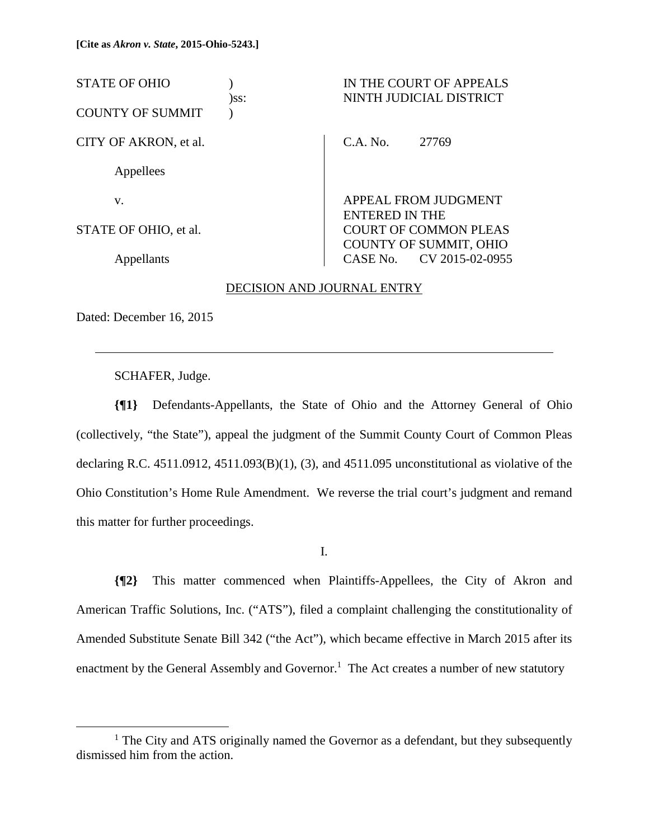STATE OF OHIO ) IN THE COURT OF APPEALS )ss: NINTH JUDICIAL DISTRICT COUNTY OF SUMMIT ) CITY OF AKRON, et al. Appellees v. STATE OF OHIO, et al. Appellants C.A. No. 27769 APPEAL FROM JUDGMENT ENTERED IN THE COURT OF COMMON PLEAS COUNTY OF SUMMIT, OHIO CASE No. CV 2015-02-0955

# DECISION AND JOURNAL ENTRY

Dated: December 16, 2015

 $\overline{a}$ 

SCHAFER, Judge.

**{¶1}** Defendants-Appellants, the State of Ohio and the Attorney General of Ohio (collectively, "the State"), appeal the judgment of the Summit County Court of Common Pleas declaring R.C.  $4511.0912$ ,  $4511.093(B)(1)$ ,  $(3)$ , and  $4511.095$  unconstitutional as violative of the Ohio Constitution's Home Rule Amendment. We reverse the trial court's judgment and remand this matter for further proceedings.

I.

**{¶2}** This matter commenced when Plaintiffs-Appellees, the City of Akron and American Traffic Solutions, Inc. ("ATS"), filed a complaint challenging the constitutionality of Amended Substitute Senate Bill 342 ("the Act"), which became effective in March 2015 after its enactment by the General Assembly and Governor.<sup>1</sup> The Act creates a number of new statutory

 <sup>1</sup>  $<sup>1</sup>$  The City and ATS originally named the Governor as a defendant, but they subsequently</sup> dismissed him from the action.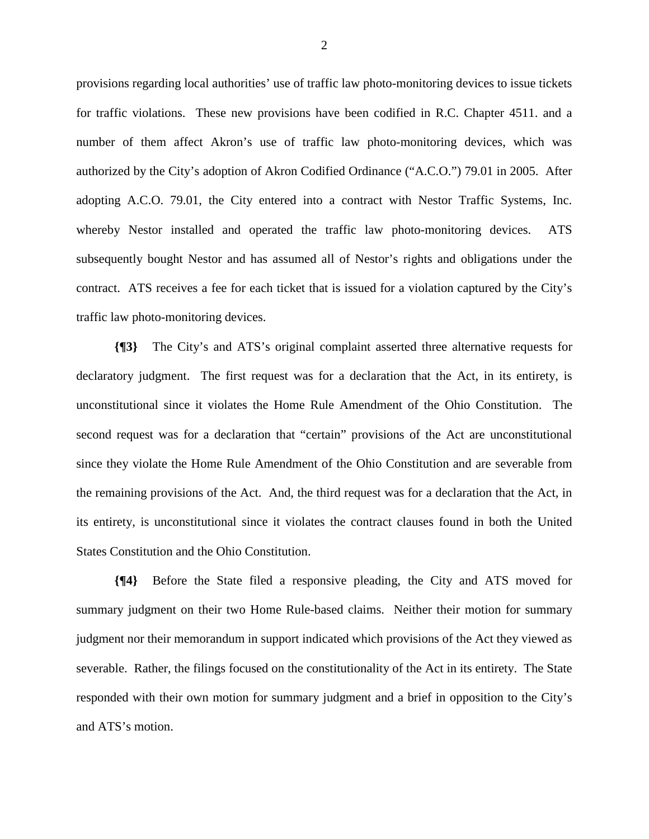provisions regarding local authorities' use of traffic law photo-monitoring devices to issue tickets for traffic violations. These new provisions have been codified in R.C. Chapter 4511. and a number of them affect Akron's use of traffic law photo-monitoring devices, which was authorized by the City's adoption of Akron Codified Ordinance ("A.C.O.") 79.01 in 2005. After adopting A.C.O. 79.01, the City entered into a contract with Nestor Traffic Systems, Inc. whereby Nestor installed and operated the traffic law photo-monitoring devices. ATS subsequently bought Nestor and has assumed all of Nestor's rights and obligations under the contract. ATS receives a fee for each ticket that is issued for a violation captured by the City's traffic law photo-monitoring devices.

**{¶3}** The City's and ATS's original complaint asserted three alternative requests for declaratory judgment. The first request was for a declaration that the Act, in its entirety, is unconstitutional since it violates the Home Rule Amendment of the Ohio Constitution. The second request was for a declaration that "certain" provisions of the Act are unconstitutional since they violate the Home Rule Amendment of the Ohio Constitution and are severable from the remaining provisions of the Act. And, the third request was for a declaration that the Act, in its entirety, is unconstitutional since it violates the contract clauses found in both the United States Constitution and the Ohio Constitution.

**{¶4}** Before the State filed a responsive pleading, the City and ATS moved for summary judgment on their two Home Rule-based claims. Neither their motion for summary judgment nor their memorandum in support indicated which provisions of the Act they viewed as severable. Rather, the filings focused on the constitutionality of the Act in its entirety. The State responded with their own motion for summary judgment and a brief in opposition to the City's and ATS's motion.

2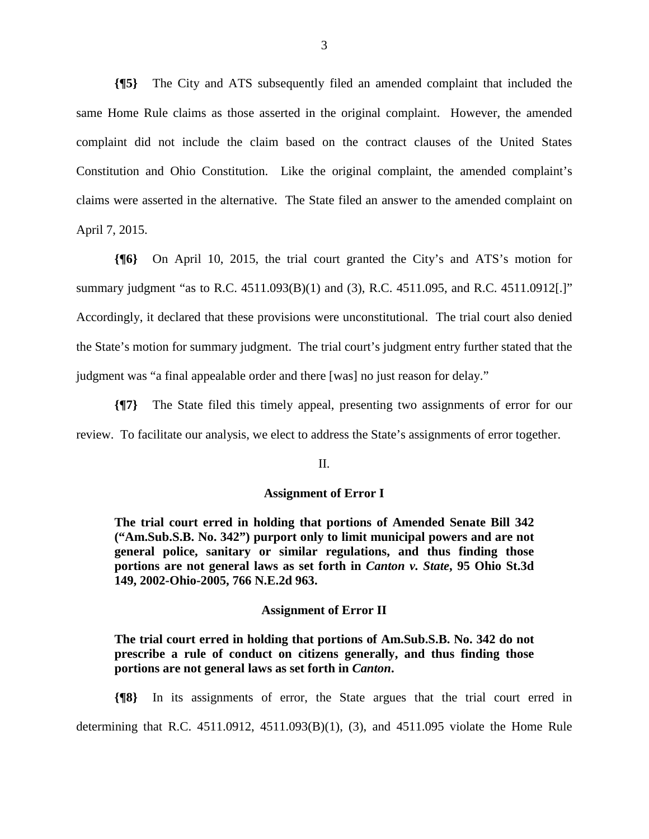**{¶5}** The City and ATS subsequently filed an amended complaint that included the same Home Rule claims as those asserted in the original complaint. However, the amended complaint did not include the claim based on the contract clauses of the United States Constitution and Ohio Constitution. Like the original complaint, the amended complaint's claims were asserted in the alternative. The State filed an answer to the amended complaint on April 7, 2015.

**{¶6}** On April 10, 2015, the trial court granted the City's and ATS's motion for summary judgment "as to R.C. 4511.093(B)(1) and (3), R.C. 4511.095, and R.C. 4511.0912[.]" Accordingly, it declared that these provisions were unconstitutional. The trial court also denied the State's motion for summary judgment. The trial court's judgment entry further stated that the judgment was "a final appealable order and there [was] no just reason for delay."

**{¶7}** The State filed this timely appeal, presenting two assignments of error for our review. To facilitate our analysis, we elect to address the State's assignments of error together.

II.

# **Assignment of Error I**

**The trial court erred in holding that portions of Amended Senate Bill 342 ("Am.Sub.S.B. No. 342") purport only to limit municipal powers and are not general police, sanitary or similar regulations, and thus finding those portions are not general laws as set forth in** *Canton v. State***, 95 Ohio St.3d 149, 2002-Ohio-2005, 766 N.E.2d 963.** 

#### **Assignment of Error II**

**The trial court erred in holding that portions of Am.Sub.S.B. No. 342 do not prescribe a rule of conduct on citizens generally, and thus finding those portions are not general laws as set forth in** *Canton***.** 

**{¶8}** In its assignments of error, the State argues that the trial court erred in determining that R.C. 4511.0912, 4511.093(B)(1), (3), and 4511.095 violate the Home Rule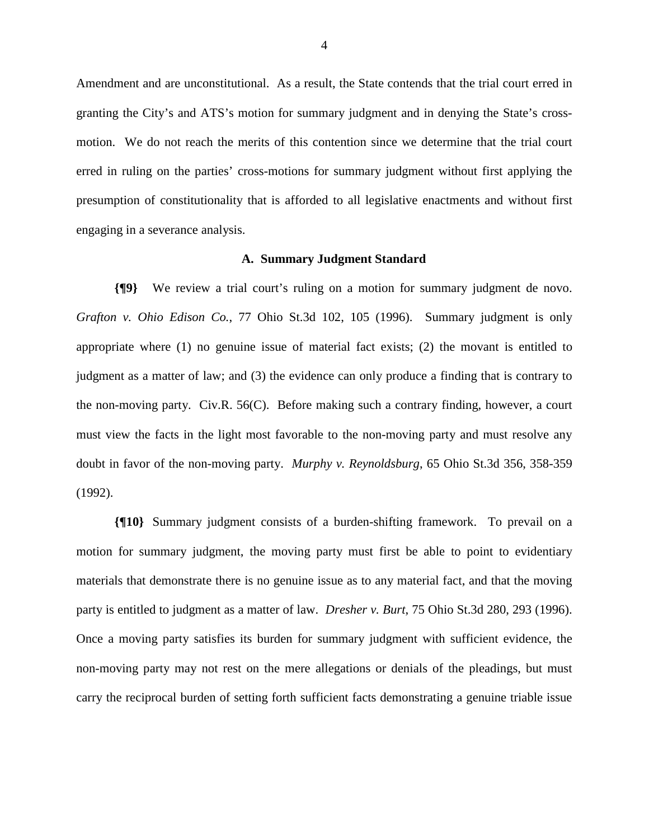Amendment and are unconstitutional. As a result, the State contends that the trial court erred in granting the City's and ATS's motion for summary judgment and in denying the State's crossmotion. We do not reach the merits of this contention since we determine that the trial court erred in ruling on the parties' cross-motions for summary judgment without first applying the presumption of constitutionality that is afforded to all legislative enactments and without first engaging in a severance analysis.

#### **A. Summary Judgment Standard**

**{¶9}** We review a trial court's ruling on a motion for summary judgment de novo. *Grafton v. Ohio Edison Co.*, 77 Ohio St.3d 102, 105 (1996). Summary judgment is only appropriate where (1) no genuine issue of material fact exists; (2) the movant is entitled to judgment as a matter of law; and (3) the evidence can only produce a finding that is contrary to the non-moving party. Civ.R. 56(C). Before making such a contrary finding, however, a court must view the facts in the light most favorable to the non-moving party and must resolve any doubt in favor of the non-moving party. *Murphy v. Reynoldsburg*, 65 Ohio St.3d 356, 358-359 (1992).

**{¶10}** Summary judgment consists of a burden-shifting framework. To prevail on a motion for summary judgment, the moving party must first be able to point to evidentiary materials that demonstrate there is no genuine issue as to any material fact, and that the moving party is entitled to judgment as a matter of law. *Dresher v. Burt*, 75 Ohio St.3d 280, 293 (1996). Once a moving party satisfies its burden for summary judgment with sufficient evidence, the non-moving party may not rest on the mere allegations or denials of the pleadings, but must carry the reciprocal burden of setting forth sufficient facts demonstrating a genuine triable issue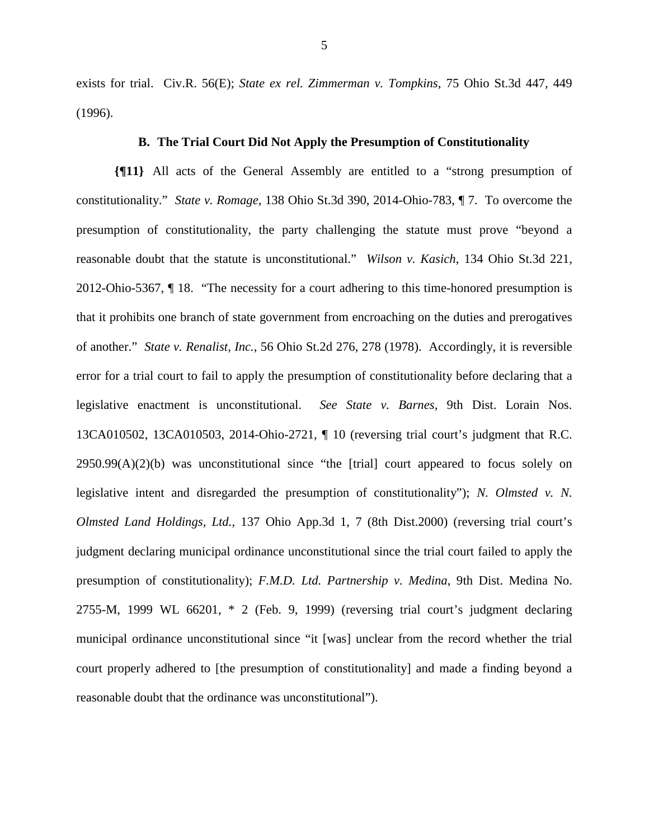exists for trial. Civ.R. 56(E); *State ex rel. Zimmerman v. Tompkins*, 75 Ohio St.3d 447, 449 (1996).

### **B. The Trial Court Did Not Apply the Presumption of Constitutionality**

**{¶11}** All acts of the General Assembly are entitled to a "strong presumption of constitutionality." *State v. Romage*, 138 Ohio St.3d 390, 2014-Ohio-783, ¶ 7. To overcome the presumption of constitutionality, the party challenging the statute must prove "beyond a reasonable doubt that the statute is unconstitutional." *Wilson v. Kasich*, 134 Ohio St.3d 221, 2012-Ohio-5367, ¶ 18. "The necessity for a court adhering to this time-honored presumption is that it prohibits one branch of state government from encroaching on the duties and prerogatives of another." *State v. Renalist, Inc.*, 56 Ohio St.2d 276, 278 (1978). Accordingly, it is reversible error for a trial court to fail to apply the presumption of constitutionality before declaring that a legislative enactment is unconstitutional. *See State v. Barnes*, 9th Dist. Lorain Nos. 13CA010502, 13CA010503, 2014-Ohio-2721, ¶ 10 (reversing trial court's judgment that R.C.  $2950.99(A)(2)(b)$  was unconstitutional since "the [trial] court appeared to focus solely on legislative intent and disregarded the presumption of constitutionality"); *N. Olmsted v. N. Olmsted Land Holdings, Ltd.*, 137 Ohio App.3d 1, 7 (8th Dist.2000) (reversing trial court's judgment declaring municipal ordinance unconstitutional since the trial court failed to apply the presumption of constitutionality); *F.M.D. Ltd. Partnership v. Medina*, 9th Dist. Medina No. 2755-M, 1999 WL 66201, \* 2 (Feb. 9, 1999) (reversing trial court's judgment declaring municipal ordinance unconstitutional since "it [was] unclear from the record whether the trial court properly adhered to [the presumption of constitutionality] and made a finding beyond a reasonable doubt that the ordinance was unconstitutional").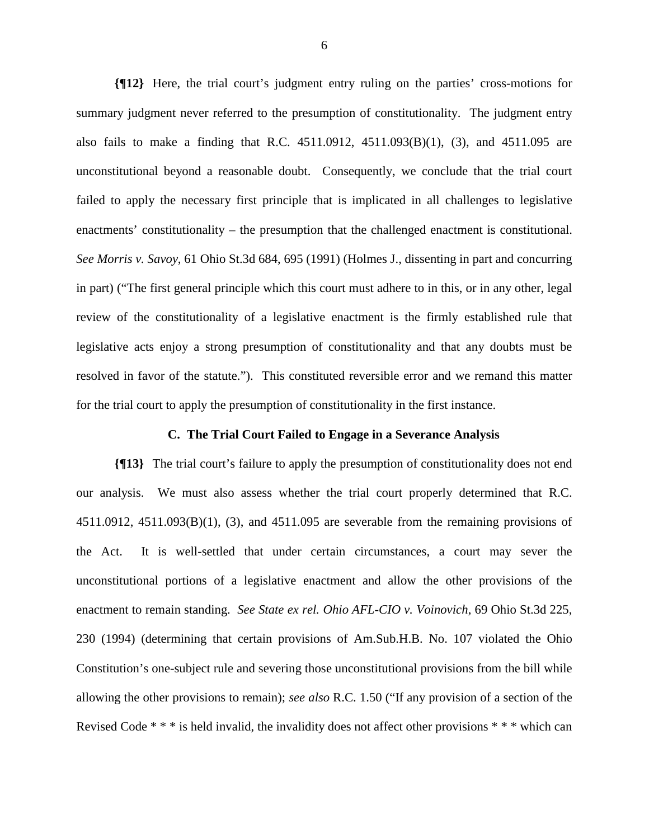**{¶12}** Here, the trial court's judgment entry ruling on the parties' cross-motions for summary judgment never referred to the presumption of constitutionality. The judgment entry also fails to make a finding that R.C. 4511.0912, 4511.093(B)(1), (3), and 4511.095 are unconstitutional beyond a reasonable doubt. Consequently, we conclude that the trial court failed to apply the necessary first principle that is implicated in all challenges to legislative enactments' constitutionality – the presumption that the challenged enactment is constitutional. *See Morris v. Savoy*, 61 Ohio St.3d 684, 695 (1991) (Holmes J., dissenting in part and concurring in part) ("The first general principle which this court must adhere to in this, or in any other, legal review of the constitutionality of a legislative enactment is the firmly established rule that legislative acts enjoy a strong presumption of constitutionality and that any doubts must be resolved in favor of the statute."). This constituted reversible error and we remand this matter for the trial court to apply the presumption of constitutionality in the first instance.

### **C. The Trial Court Failed to Engage in a Severance Analysis**

**{¶13}** The trial court's failure to apply the presumption of constitutionality does not end our analysis. We must also assess whether the trial court properly determined that R.C. 4511.0912, 4511.093(B)(1), (3), and 4511.095 are severable from the remaining provisions of the Act. It is well-settled that under certain circumstances, a court may sever the unconstitutional portions of a legislative enactment and allow the other provisions of the enactment to remain standing. *See State ex rel. Ohio AFL-CIO v. Voinovich*, 69 Ohio St.3d 225, 230 (1994) (determining that certain provisions of Am.Sub.H.B. No. 107 violated the Ohio Constitution's one-subject rule and severing those unconstitutional provisions from the bill while allowing the other provisions to remain); *see also* R.C. 1.50 ("If any provision of a section of the Revised Code \* \* \* is held invalid, the invalidity does not affect other provisions \* \* \* which can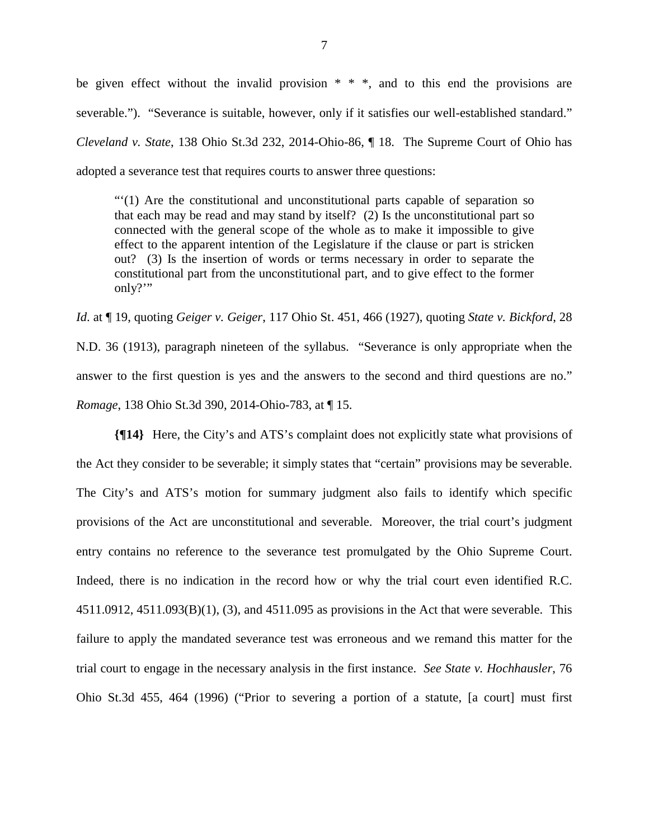be given effect without the invalid provision  $* * *$ , and to this end the provisions are severable."). "Severance is suitable, however, only if it satisfies our well-established standard." *Cleveland v. State*, 138 Ohio St.3d 232, 2014-Ohio-86, ¶ 18. The Supreme Court of Ohio has adopted a severance test that requires courts to answer three questions:

"'(1) Are the constitutional and unconstitutional parts capable of separation so that each may be read and may stand by itself? (2) Is the unconstitutional part so connected with the general scope of the whole as to make it impossible to give effect to the apparent intention of the Legislature if the clause or part is stricken out? (3) Is the insertion of words or terms necessary in order to separate the constitutional part from the unconstitutional part, and to give effect to the former only?"

*Id*. at ¶ 19, quoting *Geiger v. Geiger*, 117 Ohio St. 451, 466 (1927), quoting *State v. Bickford*, 28 N.D. 36 (1913), paragraph nineteen of the syllabus. "Severance is only appropriate when the answer to the first question is yes and the answers to the second and third questions are no." *Romage*, 138 Ohio St.3d 390, 2014-Ohio-783, at ¶ 15.

**{¶14}** Here, the City's and ATS's complaint does not explicitly state what provisions of the Act they consider to be severable; it simply states that "certain" provisions may be severable. The City's and ATS's motion for summary judgment also fails to identify which specific provisions of the Act are unconstitutional and severable. Moreover, the trial court's judgment entry contains no reference to the severance test promulgated by the Ohio Supreme Court. Indeed, there is no indication in the record how or why the trial court even identified R.C. 4511.0912, 4511.093(B)(1), (3), and 4511.095 as provisions in the Act that were severable. This failure to apply the mandated severance test was erroneous and we remand this matter for the trial court to engage in the necessary analysis in the first instance. *See State v. Hochhausler*, 76 Ohio St.3d 455, 464 (1996) ("Prior to severing a portion of a statute, [a court] must first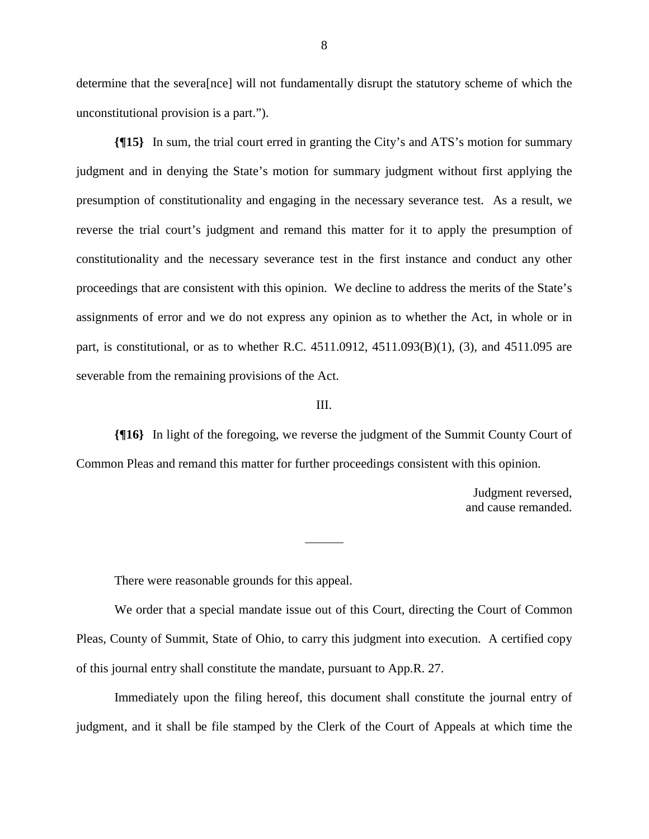determine that the severa[nce] will not fundamentally disrupt the statutory scheme of which the unconstitutional provision is a part.").

**{¶15}** In sum, the trial court erred in granting the City's and ATS's motion for summary judgment and in denying the State's motion for summary judgment without first applying the presumption of constitutionality and engaging in the necessary severance test. As a result, we reverse the trial court's judgment and remand this matter for it to apply the presumption of constitutionality and the necessary severance test in the first instance and conduct any other proceedings that are consistent with this opinion. We decline to address the merits of the State's assignments of error and we do not express any opinion as to whether the Act, in whole or in part, is constitutional, or as to whether R.C. 4511.0912, 4511.093(B)(1), (3), and 4511.095 are severable from the remaining provisions of the Act.

#### III.

**{¶16}** In light of the foregoing, we reverse the judgment of the Summit County Court of Common Pleas and remand this matter for further proceedings consistent with this opinion.

 $\overline{a}$ 

Judgment reversed, and cause remanded.

There were reasonable grounds for this appeal.

 We order that a special mandate issue out of this Court, directing the Court of Common Pleas, County of Summit, State of Ohio, to carry this judgment into execution. A certified copy of this journal entry shall constitute the mandate, pursuant to App.R. 27.

 Immediately upon the filing hereof, this document shall constitute the journal entry of judgment, and it shall be file stamped by the Clerk of the Court of Appeals at which time the